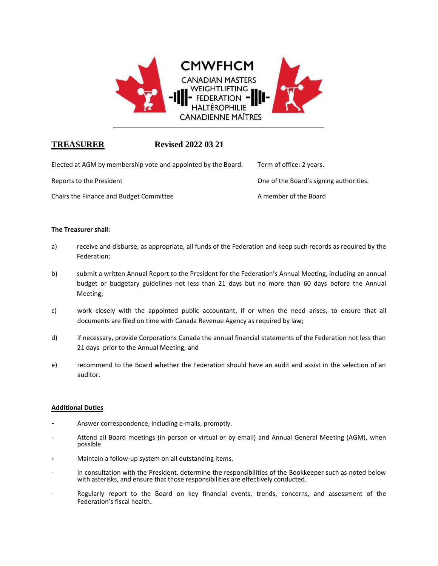

# **TREASURER Revised 2022 03 21**

| Elected at AGM by membership vote and appointed by the Board. | Term of office: 2 years.                |
|---------------------------------------------------------------|-----------------------------------------|
| Reports to the President                                      | One of the Board's signing authorities. |
| Chairs the Finance and Budget Committee                       | A member of the Board                   |

# **The Treasurer shall:**

- a) receive and disburse, as appropriate, all funds of the Federation and keep such records as required by the Federation;
- b) submit a written Annual Report to the President for the Federation's Annual Meeting, including an annual budget or budgetary guidelines not less than 21 days but no more than 60 days before the Annual Meeting;
- c) work closely with the appointed public accountant, if or when the need arises, to ensure that all documents are filed on time with Canada Revenue Agency as required by law;
- d) if necessary, provide Corporations Canada the annual financial statements of the Federation not less than 21 days prior to the Annual Meeting; and
- e) recommend to the Board whether the Federation should have an audit and assist in the selection of an auditor.

# **Additional Duties**

- **-** Answer correspondence, including e-mails, promptly.
- Attend all Board meetings (in person or virtual or by email) and Annual General Meeting (AGM), when possible.
- **-** Maintain a follow-up system on all outstanding items.
- In consultation with the President, determine the responsibilities of the Bookkeeper such as noted below with asterisks, and ensure that those responsibilities are effectively conducted.
- Regularly report to the Board on key financial events, trends, concerns, and assessment of the Federation's fiscal health.